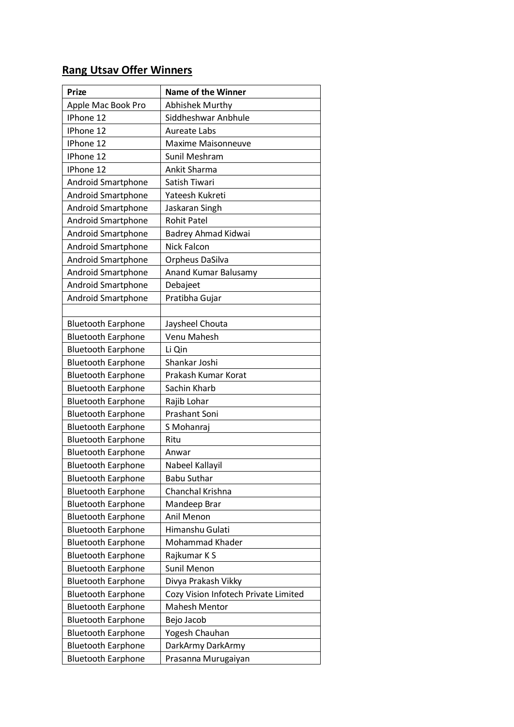## **Rang Utsav Offer Winners**

| <b>Prize</b>              | <b>Name of the Winner</b>            |  |
|---------------------------|--------------------------------------|--|
| Apple Mac Book Pro        | <b>Abhishek Murthy</b>               |  |
| IPhone 12                 | Siddheshwar Anbhule                  |  |
| IPhone 12                 | <b>Aureate Labs</b>                  |  |
| IPhone 12                 | <b>Maxime Maisonneuve</b>            |  |
| IPhone 12                 | Sunil Meshram                        |  |
| IPhone 12                 | Ankit Sharma                         |  |
| Android Smartphone        | Satish Tiwari                        |  |
| <b>Android Smartphone</b> | Yateesh Kukreti                      |  |
| <b>Android Smartphone</b> | Jaskaran Singh                       |  |
| <b>Android Smartphone</b> | <b>Rohit Patel</b>                   |  |
| <b>Android Smartphone</b> | Badrey Ahmad Kidwai                  |  |
| Android Smartphone        | Nick Falcon                          |  |
| <b>Android Smartphone</b> | Orpheus DaSilva                      |  |
| <b>Android Smartphone</b> | Anand Kumar Balusamy                 |  |
| Android Smartphone        | Debajeet                             |  |
| <b>Android Smartphone</b> | Pratibha Gujar                       |  |
|                           |                                      |  |
| <b>Bluetooth Earphone</b> | Jaysheel Chouta                      |  |
| <b>Bluetooth Earphone</b> | Venu Mahesh                          |  |
| <b>Bluetooth Earphone</b> | Li Qin                               |  |
| <b>Bluetooth Earphone</b> | Shankar Joshi                        |  |
| <b>Bluetooth Earphone</b> | Prakash Kumar Korat                  |  |
| <b>Bluetooth Earphone</b> | Sachin Kharb                         |  |
| <b>Bluetooth Earphone</b> | Rajib Lohar                          |  |
| <b>Bluetooth Earphone</b> | Prashant Soni                        |  |
| <b>Bluetooth Earphone</b> | S Mohanraj                           |  |
| <b>Bluetooth Earphone</b> | Ritu                                 |  |
| <b>Bluetooth Earphone</b> | Anwar                                |  |
| <b>Bluetooth Earphone</b> | Nabeel Kallayil                      |  |
| <b>Bluetooth Earphone</b> | <b>Babu Suthar</b>                   |  |
| <b>Bluetooth Earphone</b> | Chanchal Krishna                     |  |
| <b>Bluetooth Earphone</b> | Mandeep Brar                         |  |
| <b>Bluetooth Earphone</b> | Anil Menon                           |  |
| <b>Bluetooth Earphone</b> | Himanshu Gulati                      |  |
| <b>Bluetooth Earphone</b> | Mohammad Khader                      |  |
| <b>Bluetooth Earphone</b> | Rajkumar K S                         |  |
| <b>Bluetooth Earphone</b> | Sunil Menon                          |  |
| <b>Bluetooth Earphone</b> | Divya Prakash Vikky                  |  |
| <b>Bluetooth Earphone</b> | Cozy Vision Infotech Private Limited |  |
| <b>Bluetooth Earphone</b> | <b>Mahesh Mentor</b>                 |  |
| <b>Bluetooth Earphone</b> | Bejo Jacob                           |  |
| <b>Bluetooth Earphone</b> | Yogesh Chauhan                       |  |
| <b>Bluetooth Earphone</b> | DarkArmy DarkArmy                    |  |
| <b>Bluetooth Earphone</b> | Prasanna Murugaiyan                  |  |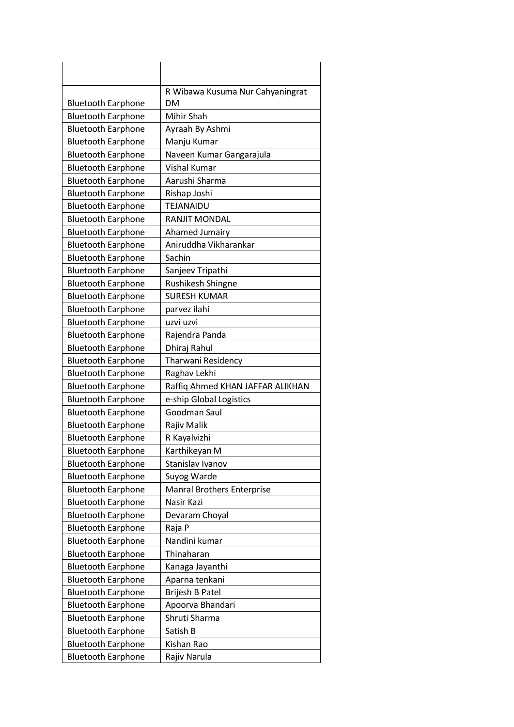|                           | R Wibawa Kusuma Nur Cahyaningrat  |
|---------------------------|-----------------------------------|
| <b>Bluetooth Earphone</b> | <b>DM</b>                         |
| <b>Bluetooth Earphone</b> | Mihir Shah                        |
| <b>Bluetooth Earphone</b> | Ayraah By Ashmi                   |
| <b>Bluetooth Earphone</b> | Manju Kumar                       |
| <b>Bluetooth Earphone</b> | Naveen Kumar Gangarajula          |
| <b>Bluetooth Earphone</b> | <b>Vishal Kumar</b>               |
| <b>Bluetooth Earphone</b> | Aarushi Sharma                    |
| <b>Bluetooth Earphone</b> | Rishap Joshi                      |
| <b>Bluetooth Earphone</b> | TEJANAIDU                         |
| <b>Bluetooth Earphone</b> | <b>RANJIT MONDAL</b>              |
| <b>Bluetooth Earphone</b> | Ahamed Jumairy                    |
| <b>Bluetooth Earphone</b> | Aniruddha Vikharankar             |
| <b>Bluetooth Earphone</b> | Sachin                            |
| <b>Bluetooth Earphone</b> | Sanjeev Tripathi                  |
| <b>Bluetooth Earphone</b> | Rushikesh Shingne                 |
| <b>Bluetooth Earphone</b> | <b>SURESH KUMAR</b>               |
| <b>Bluetooth Earphone</b> | parvez ilahi                      |
| <b>Bluetooth Earphone</b> | uzvi uzvi                         |
| <b>Bluetooth Earphone</b> | Rajendra Panda                    |
| <b>Bluetooth Earphone</b> | Dhiraj Rahul                      |
| <b>Bluetooth Earphone</b> | Tharwani Residency                |
| <b>Bluetooth Earphone</b> | Raghav Lekhi                      |
| <b>Bluetooth Earphone</b> | Raffiq Ahmed KHAN JAFFAR ALIKHAN  |
| <b>Bluetooth Earphone</b> | e-ship Global Logistics           |
| <b>Bluetooth Earphone</b> | Goodman Saul                      |
| <b>Bluetooth Earphone</b> | Rajiv Malik                       |
| <b>Bluetooth Earphone</b> | R Kayalvizhi                      |
| <b>Bluetooth Earphone</b> | Karthikeyan M                     |
| <b>Bluetooth Earphone</b> | Stanislav Ivanov                  |
| <b>Bluetooth Earphone</b> | Suyog Warde                       |
| <b>Bluetooth Earphone</b> | <b>Manral Brothers Enterprise</b> |
| <b>Bluetooth Earphone</b> | Nasir Kazi                        |
| <b>Bluetooth Earphone</b> | Devaram Choyal                    |
| <b>Bluetooth Earphone</b> | Raja P                            |
| <b>Bluetooth Earphone</b> | Nandini kumar                     |
| <b>Bluetooth Earphone</b> | Thinaharan                        |
| <b>Bluetooth Earphone</b> | Kanaga Jayanthi                   |
| <b>Bluetooth Earphone</b> | Aparna tenkani                    |
| <b>Bluetooth Earphone</b> | Brijesh B Patel                   |
| <b>Bluetooth Earphone</b> | Apoorva Bhandari                  |
| <b>Bluetooth Earphone</b> | Shruti Sharma                     |
| <b>Bluetooth Earphone</b> | Satish B                          |
| <b>Bluetooth Earphone</b> | Kishan Rao                        |
| <b>Bluetooth Earphone</b> | Rajiv Narula                      |
|                           |                                   |